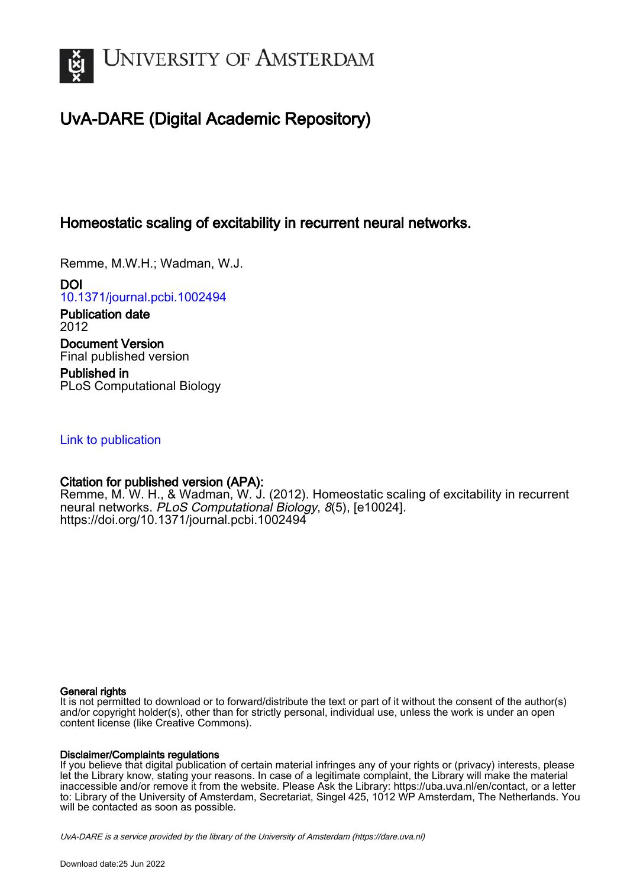

# UvA-DARE (Digital Academic Repository)

# Homeostatic scaling of excitability in recurrent neural networks.

Remme, M.W.H.; Wadman, W.J.

DOI [10.1371/journal.pcbi.1002494](https://doi.org/10.1371/journal.pcbi.1002494)

Publication date 2012 Document Version Final published version

Published in PLoS Computational Biology

# [Link to publication](https://dare.uva.nl/personal/pure/en/publications/homeostatic-scaling-of-excitability-in-recurrent-neural-networks(e43543bf-5685-4eee-98d4-995d35e1a5f2).html)

# Citation for published version (APA):

Remme, M. W. H., & Wadman, W. J. (2012). Homeostatic scaling of excitability in recurrent neural networks. PLoS Computational Biology, 8(5), [e10024]. <https://doi.org/10.1371/journal.pcbi.1002494>

## General rights

It is not permitted to download or to forward/distribute the text or part of it without the consent of the author(s) and/or copyright holder(s), other than for strictly personal, individual use, unless the work is under an open content license (like Creative Commons).

## Disclaimer/Complaints regulations

If you believe that digital publication of certain material infringes any of your rights or (privacy) interests, please let the Library know, stating your reasons. In case of a legitimate complaint, the Library will make the material inaccessible and/or remove it from the website. Please Ask the Library: https://uba.uva.nl/en/contact, or a letter to: Library of the University of Amsterdam, Secretariat, Singel 425, 1012 WP Amsterdam, The Netherlands. You will be contacted as soon as possible.

UvA-DARE is a service provided by the library of the University of Amsterdam (http*s*://dare.uva.nl)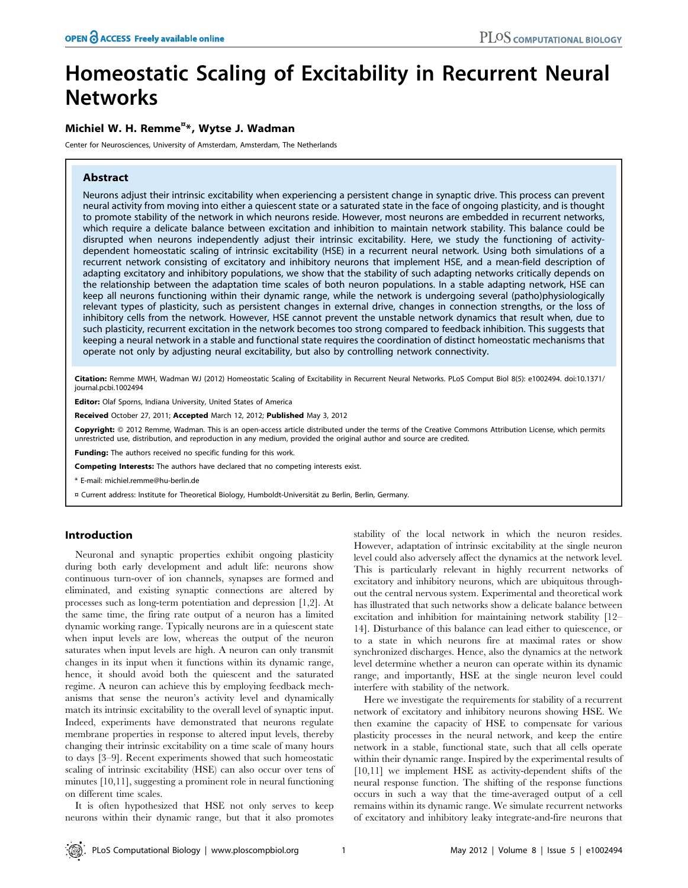# Homeostatic Scaling of Excitability in Recurrent Neural Networks

## Michiel W. H. Remme<sup>¤\*</sup>, Wytse J. Wadman

Center for Neurosciences, University of Amsterdam, Amsterdam, The Netherlands

## Abstract

Neurons adjust their intrinsic excitability when experiencing a persistent change in synaptic drive. This process can prevent neural activity from moving into either a quiescent state or a saturated state in the face of ongoing plasticity, and is thought to promote stability of the network in which neurons reside. However, most neurons are embedded in recurrent networks, which require a delicate balance between excitation and inhibition to maintain network stability. This balance could be disrupted when neurons independently adjust their intrinsic excitability. Here, we study the functioning of activitydependent homeostatic scaling of intrinsic excitability (HSE) in a recurrent neural network. Using both simulations of a recurrent network consisting of excitatory and inhibitory neurons that implement HSE, and a mean-field description of adapting excitatory and inhibitory populations, we show that the stability of such adapting networks critically depends on the relationship between the adaptation time scales of both neuron populations. In a stable adapting network, HSE can keep all neurons functioning within their dynamic range, while the network is undergoing several (patho)physiologically relevant types of plasticity, such as persistent changes in external drive, changes in connection strengths, or the loss of inhibitory cells from the network. However, HSE cannot prevent the unstable network dynamics that result when, due to such plasticity, recurrent excitation in the network becomes too strong compared to feedback inhibition. This suggests that keeping a neural network in a stable and functional state requires the coordination of distinct homeostatic mechanisms that operate not only by adjusting neural excitability, but also by controlling network connectivity.

Citation: Remme MWH, Wadman WJ (2012) Homeostatic Scaling of Excitability in Recurrent Neural Networks. PLoS Comput Biol 8(5): e1002494. doi:10.1371/ journal.pcbi.1002494

Editor: Olaf Sporns, Indiana University, United States of America

Received October 27, 2011; Accepted March 12, 2012; Published May 3, 2012

Copyright: © 2012 Remme, Wadman. This is an open-access article distributed under the terms of the Creative Commons Attribution License, which permits unrestricted use, distribution, and reproduction in any medium, provided the original author and source are credited.

Funding: The authors received no specific funding for this work.

Competing Interests: The authors have declared that no competing interests exist.

\* E-mail: michiel.remme@hu-berlin.de

¤ Current address: Institute for Theoretical Biology, Humboldt-Universita¨t zu Berlin, Berlin, Germany.

#### Introduction

Neuronal and synaptic properties exhibit ongoing plasticity during both early development and adult life: neurons show continuous turn-over of ion channels, synapses are formed and eliminated, and existing synaptic connections are altered by processes such as long-term potentiation and depression [1,2]. At the same time, the firing rate output of a neuron has a limited dynamic working range. Typically neurons are in a quiescent state when input levels are low, whereas the output of the neuron saturates when input levels are high. A neuron can only transmit changes in its input when it functions within its dynamic range, hence, it should avoid both the quiescent and the saturated regime. A neuron can achieve this by employing feedback mechanisms that sense the neuron's activity level and dynamically match its intrinsic excitability to the overall level of synaptic input. Indeed, experiments have demonstrated that neurons regulate membrane properties in response to altered input levels, thereby changing their intrinsic excitability on a time scale of many hours to days [3–9]. Recent experiments showed that such homeostatic scaling of intrinsic excitability (HSE) can also occur over tens of minutes [10,11], suggesting a prominent role in neural functioning on different time scales.

It is often hypothesized that HSE not only serves to keep neurons within their dynamic range, but that it also promotes stability of the local network in which the neuron resides. However, adaptation of intrinsic excitability at the single neuron level could also adversely affect the dynamics at the network level. This is particularly relevant in highly recurrent networks of excitatory and inhibitory neurons, which are ubiquitous throughout the central nervous system. Experimental and theoretical work has illustrated that such networks show a delicate balance between excitation and inhibition for maintaining network stability [12– 14]. Disturbance of this balance can lead either to quiescence, or to a state in which neurons fire at maximal rates or show synchronized discharges. Hence, also the dynamics at the network level determine whether a neuron can operate within its dynamic range, and importantly, HSE at the single neuron level could interfere with stability of the network.

Here we investigate the requirements for stability of a recurrent network of excitatory and inhibitory neurons showing HSE. We then examine the capacity of HSE to compensate for various plasticity processes in the neural network, and keep the entire network in a stable, functional state, such that all cells operate within their dynamic range. Inspired by the experimental results of [10,11] we implement HSE as activity-dependent shifts of the neural response function. The shifting of the response functions occurs in such a way that the time-averaged output of a cell remains within its dynamic range. We simulate recurrent networks of excitatory and inhibitory leaky integrate-and-fire neurons that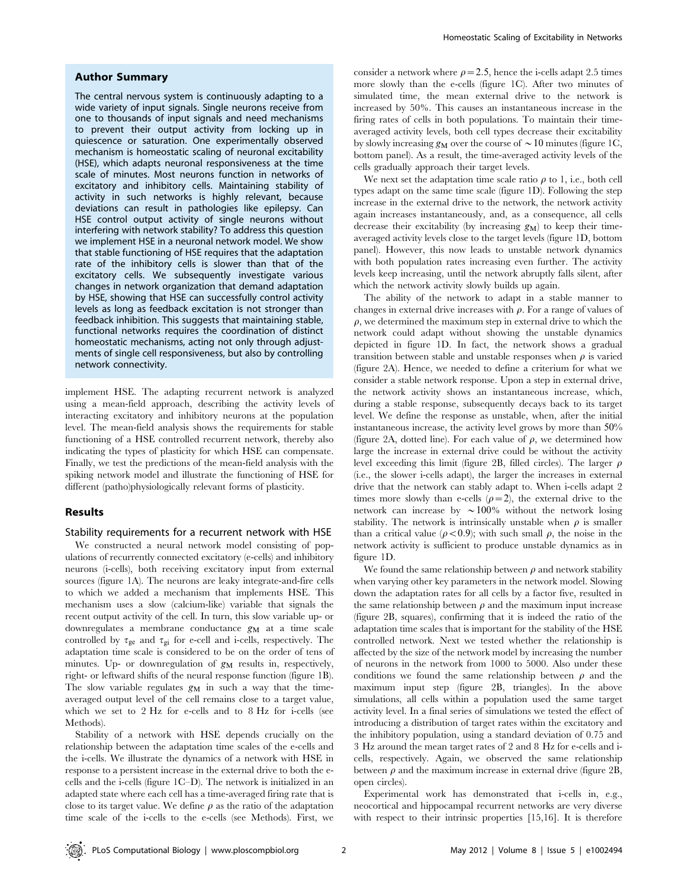#### Author Summary

The central nervous system is continuously adapting to a wide variety of input signals. Single neurons receive from one to thousands of input signals and need mechanisms to prevent their output activity from locking up in quiescence or saturation. One experimentally observed mechanism is homeostatic scaling of neuronal excitability (HSE), which adapts neuronal responsiveness at the time scale of minutes. Most neurons function in networks of excitatory and inhibitory cells. Maintaining stability of activity in such networks is highly relevant, because deviations can result in pathologies like epilepsy. Can HSE control output activity of single neurons without interfering with network stability? To address this question we implement HSE in a neuronal network model. We show that stable functioning of HSE requires that the adaptation rate of the inhibitory cells is slower than that of the excitatory cells. We subsequently investigate various changes in network organization that demand adaptation by HSE, showing that HSE can successfully control activity levels as long as feedback excitation is not stronger than feedback inhibition. This suggests that maintaining stable, functional networks requires the coordination of distinct homeostatic mechanisms, acting not only through adjustments of single cell responsiveness, but also by controlling network connectivity.

implement HSE. The adapting recurrent network is analyzed using a mean-field approach, describing the activity levels of interacting excitatory and inhibitory neurons at the population level. The mean-field analysis shows the requirements for stable functioning of a HSE controlled recurrent network, thereby also indicating the types of plasticity for which HSE can compensate. Finally, we test the predictions of the mean-field analysis with the spiking network model and illustrate the functioning of HSE for different (patho)physiologically relevant forms of plasticity.

### Results

#### Stability requirements for a recurrent network with HSE

We constructed a neural network model consisting of populations of recurrently connected excitatory (e-cells) and inhibitory neurons (i-cells), both receiving excitatory input from external sources (figure 1A). The neurons are leaky integrate-and-fire cells to which we added a mechanism that implements HSE. This mechanism uses a slow (calcium-like) variable that signals the recent output activity of the cell. In turn, this slow variable up- or downregulates a membrane conductance  $g_M$  at a time scale controlled by  $\tau_{ge}$  and  $\tau_{gi}$  for e-cell and i-cells, respectively. The adaptation time scale is considered to be on the order of tens of minutes. Up- or downregulation of  $g_M$  results in, respectively, right- or leftward shifts of the neural response function (figure 1B). The slow variable regulates  $g_M$  in such a way that the timeaveraged output level of the cell remains close to a target value, which we set to 2 Hz for e-cells and to 8 Hz for i-cells (see Methods).

Stability of a network with HSE depends crucially on the relationship between the adaptation time scales of the e-cells and the i-cells. We illustrate the dynamics of a network with HSE in response to a persistent increase in the external drive to both the ecells and the i-cells (figure 1C–D). The network is initialized in an adapted state where each cell has a time-averaged firing rate that is close to its target value. We define  $\rho$  as the ratio of the adaptation time scale of the i-cells to the e-cells (see Methods). First, we

consider a network where  $\rho = 2.5$ , hence the i-cells adapt 2.5 times more slowly than the e-cells (figure 1C). After two minutes of simulated time, the mean external drive to the network is increased by 50%. This causes an instantaneous increase in the firing rates of cells in both populations. To maintain their timeaveraged activity levels, both cell types decrease their excitability by slowly increasing  $g_M$  over the course of  $\sim 10$  minutes (figure 1C, bottom panel). As a result, the time-averaged activity levels of the cells gradually approach their target levels.

We next set the adaptation time scale ratio  $\rho$  to 1, i.e., both cell types adapt on the same time scale (figure 1D). Following the step increase in the external drive to the network, the network activity again increases instantaneously, and, as a consequence, all cells decrease their excitability (by increasing  $g_M$ ) to keep their timeaveraged activity levels close to the target levels (figure 1D, bottom panel). However, this now leads to unstable network dynamics with both population rates increasing even further. The activity levels keep increasing, until the network abruptly falls silent, after which the network activity slowly builds up again.

The ability of the network to adapt in a stable manner to changes in external drive increases with  $\rho$ . For a range of values of  $\rho$ , we determined the maximum step in external drive to which the network could adapt without showing the unstable dynamics depicted in figure 1D. In fact, the network shows a gradual transition between stable and unstable responses when  $\rho$  is varied (figure 2A). Hence, we needed to define a criterium for what we consider a stable network response. Upon a step in external drive, the network activity shows an instantaneous increase, which, during a stable response, subsequently decays back to its target level. We define the response as unstable, when, after the initial instantaneous increase, the activity level grows by more than 50% (figure 2A, dotted line). For each value of  $\rho$ , we determined how large the increase in external drive could be without the activity level exceeding this limit (figure 2B, filled circles). The larger  $\rho$ (i.e., the slower i-cells adapt), the larger the increases in external drive that the network can stably adapt to. When i-cells adapt 2 times more slowly than e-cells  $(\rho=2)$ , the external drive to the network can increase by  $\sim 100\%$  without the network losing stability. The network is intrinsically unstable when  $\rho$  is smaller than a critical value ( $\rho < 0.9$ ); with such small  $\rho$ , the noise in the network activity is sufficient to produce unstable dynamics as in figure 1D.

We found the same relationship between  $\rho$  and network stability when varying other key parameters in the network model. Slowing down the adaptation rates for all cells by a factor five, resulted in the same relationship between  $\rho$  and the maximum input increase (figure 2B, squares), confirming that it is indeed the ratio of the adaptation time scales that is important for the stability of the HSE controlled network. Next we tested whether the relationship is affected by the size of the network model by increasing the number of neurons in the network from 1000 to 5000. Also under these conditions we found the same relationship between  $\rho$  and the maximum input step (figure 2B, triangles). In the above simulations, all cells within a population used the same target activity level. In a final series of simulations we tested the effect of introducing a distribution of target rates within the excitatory and the inhibitory population, using a standard deviation of 0.75 and 3 Hz around the mean target rates of 2 and 8 Hz for e-cells and icells, respectively. Again, we observed the same relationship between  $\rho$  and the maximum increase in external drive (figure 2B, open circles).

Experimental work has demonstrated that i-cells in, e.g., neocortical and hippocampal recurrent networks are very diverse with respect to their intrinsic properties [15,16]. It is therefore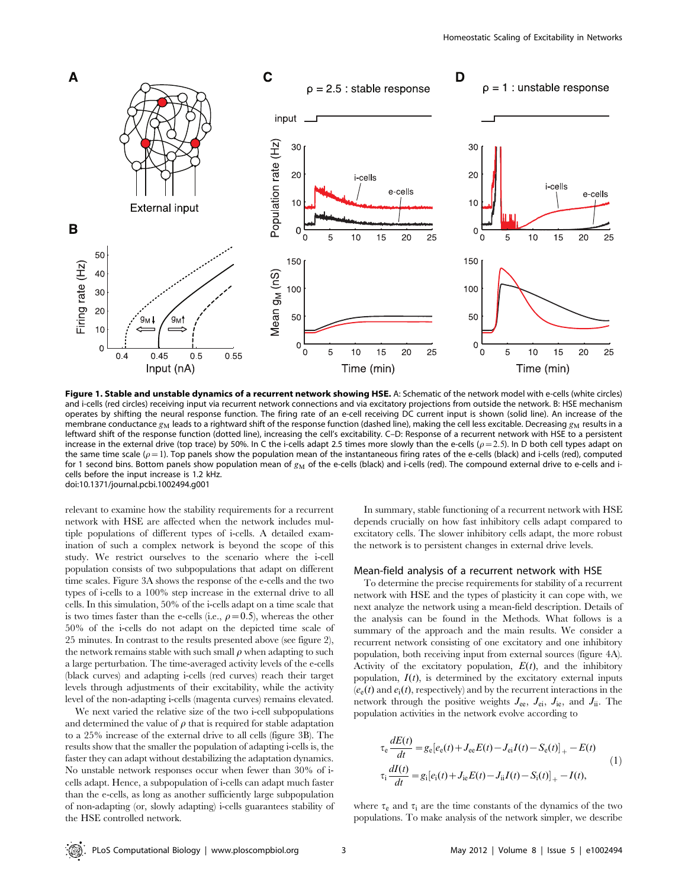

Figure 1. Stable and unstable dynamics of a recurrent network showing HSE. A: Schematic of the network model with e-cells (white circles) and i-cells (red circles) receiving input via recurrent network connections and via excitatory projections from outside the network. B: HSE mechanism operates by shifting the neural response function. The firing rate of an e-cell receiving DC current input is shown (solid line). An increase of the membrane conductance  $g_M$  leads to a rightward shift of the response function (dashed line), making the cell less excitable. Decreasing  $g_M$  results in a leftward shift of the response function (dotted line), increasing the cell's excitability. C–D: Response of a recurrent network with HSE to a persistent increase in the external drive (top trace) by 50%. In C the i-cells adapt 2.5 times more slowly than the e-cells ( $\rho$  = 2.5). In D both cell types adapt on the same time scale ( $\rho = 1$ ). Top panels show the population mean of the instantaneous firing rates of the e-cells (black) and i-cells (red), computed for 1 second bins. Bottom panels show population mean of  $g_M$  of the e-cells (black) and i-cells (red). The compound external drive to e-cells and icells before the input increase is 1.2 kHz. doi:10.1371/journal.pcbi.1002494.g001

relevant to examine how the stability requirements for a recurrent network with HSE are affected when the network includes multiple populations of different types of i-cells. A detailed examination of such a complex network is beyond the scope of this study. We restrict ourselves to the scenario where the i-cell population consists of two subpopulations that adapt on different time scales. Figure 3A shows the response of the e-cells and the two types of i-cells to a 100% step increase in the external drive to all cells. In this simulation, 50% of the i-cells adapt on a time scale that is two times faster than the e-cells (i.e.,  $\rho = 0.5$ ), whereas the other 50% of the i-cells do not adapt on the depicted time scale of 25 minutes. In contrast to the results presented above (see figure 2), the network remains stable with such small  $\rho$  when adapting to such a large perturbation. The time-averaged activity levels of the e-cells (black curves) and adapting i-cells (red curves) reach their target levels through adjustments of their excitability, while the activity level of the non-adapting i-cells (magenta curves) remains elevated.

We next varied the relative size of the two i-cell subpopulations and determined the value of  $\rho$  that is required for stable adaptation to a 25% increase of the external drive to all cells (figure 3B). The results show that the smaller the population of adapting i-cells is, the faster they can adapt without destabilizing the adaptation dynamics. No unstable network responses occur when fewer than 30% of icells adapt. Hence, a subpopulation of i-cells can adapt much faster than the e-cells, as long as another sufficiently large subpopulation of non-adapting (or, slowly adapting) i-cells guarantees stability of the HSE controlled network.

In summary, stable functioning of a recurrent network with HSE depends crucially on how fast inhibitory cells adapt compared to excitatory cells. The slower inhibitory cells adapt, the more robust the network is to persistent changes in external drive levels.

#### Mean-field analysis of a recurrent network with HSE

To determine the precise requirements for stability of a recurrent network with HSE and the types of plasticity it can cope with, we next analyze the network using a mean-field description. Details of the analysis can be found in the Methods. What follows is a summary of the approach and the main results. We consider a recurrent network consisting of one excitatory and one inhibitory population, both receiving input from external sources (figure 4A). Activity of the excitatory population,  $E(t)$ , and the inhibitory population,  $I(t)$ , is determined by the excitatory external inputs  $(e_e(t)$  and  $e_i(t)$ , respectively) and by the recurrent interactions in the network through the positive weights  $J_{ee}$ ,  $J_{ei}$ ,  $J_{ie}$ , and  $J_{ii}$ . The population activities in the network evolve according to

$$
\tau_{e} \frac{dE(t)}{dt} = g_{e}[e_{e}(t) + J_{ee}E(t) - J_{ei}I(t) - S_{e}(t)]_{+} - E(t)
$$
  
\n
$$
\tau_{i} \frac{dI(t)}{dt} = g_{i}[e_{i}(t) + J_{ie}E(t) - J_{ii}I(t) - S_{i}(t)]_{+} - I(t),
$$
\n(1)

where  $\tau_e$  and  $\tau_i$  are the time constants of the dynamics of the two populations. To make analysis of the network simpler, we describe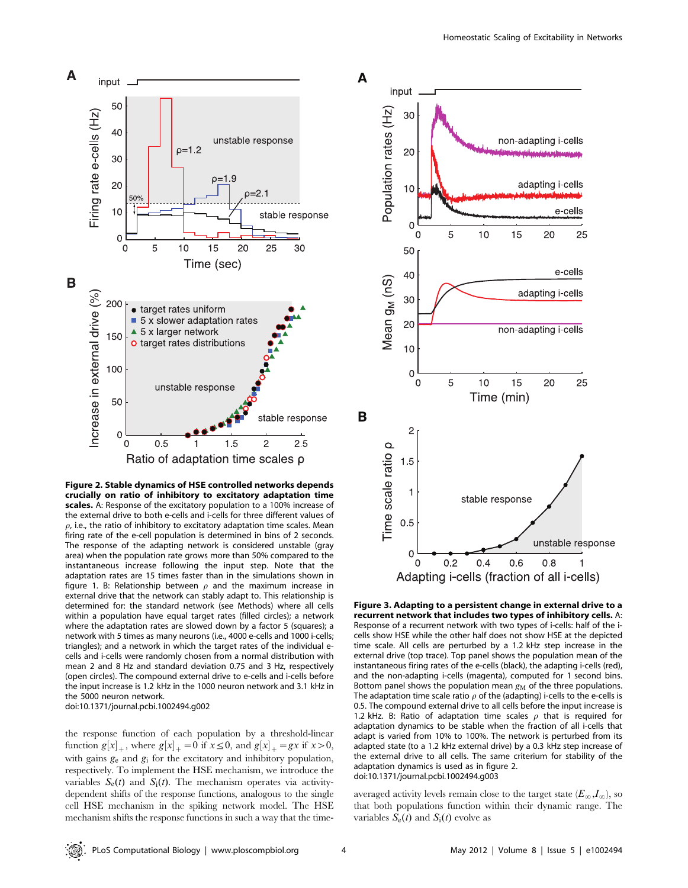

Figure 2. Stable dynamics of HSE controlled networks depends crucially on ratio of inhibitory to excitatory adaptation time scales. A: Response of the excitatory population to a 100% increase of the external drive to both e-cells and i-cells for three different values of  $\rho$ , i.e., the ratio of inhibitory to excitatory adaptation time scales. Mean firing rate of the e-cell population is determined in bins of 2 seconds. The response of the adapting network is considered unstable (gray area) when the population rate grows more than 50% compared to the instantaneous increase following the input step. Note that the adaptation rates are 15 times faster than in the simulations shown in figure 1. B: Relationship between  $\rho$  and the maximum increase in external drive that the network can stably adapt to. This relationship is determined for: the standard network (see Methods) where all cells within a population have equal target rates (filled circles); a network where the adaptation rates are slowed down by a factor 5 (squares); a network with 5 times as many neurons (i.e., 4000 e-cells and 1000 i-cells; triangles); and a network in which the target rates of the individual ecells and i-cells were randomly chosen from a normal distribution with mean 2 and 8 Hz and standard deviation 0.75 and 3 Hz, respectively (open circles). The compound external drive to e-cells and i-cells before the input increase is 1.2 kHz in the 1000 neuron network and 3.1 kHz in the 5000 neuron network.

doi:10.1371/journal.pcbi.1002494.g002

the response function of each population by a threshold-linear function  $g[x]_+$ , where  $g[x]_+ = 0$  if  $x \le 0$ , and  $g[x]_+ = gx$  if  $x > 0$ , with gains  $g_e$  and  $g_i$  for the excitatory and inhibitory population, respectively. To implement the HSE mechanism, we introduce the variables  $S_e(t)$  and  $S_i(t)$ . The mechanism operates via activitydependent shifts of the response functions, analogous to the single cell HSE mechanism in the spiking network model. The HSE mechanism shifts the response functions in such a way that the time-



Figure 3. Adapting to a persistent change in external drive to a recurrent network that includes two types of inhibitory cells. A: Response of a recurrent network with two types of i-cells: half of the icells show HSE while the other half does not show HSE at the depicted time scale. All cells are perturbed by a 1.2 kHz step increase in the external drive (top trace). Top panel shows the population mean of the instantaneous firing rates of the e-cells (black), the adapting i-cells (red), and the non-adapting i-cells (magenta), computed for 1 second bins. Bottom panel shows the population mean  $g_M$  of the three populations. The adaptation time scale ratio  $\rho$  of the (adapting) i-cells to the e-cells is 0.5. The compound external drive to all cells before the input increase is 1.2 kHz. B: Ratio of adaptation time scales  $\rho$  that is required for adaptation dynamics to be stable when the fraction of all i-cells that adapt is varied from 10% to 100%. The network is perturbed from its adapted state (to a 1.2 kHz external drive) by a 0.3 kHz step increase of the external drive to all cells. The same criterium for stability of the adaptation dynamics is used as in figure 2. doi:10.1371/journal.pcbi.1002494.g003

averaged activity levels remain close to the target state  $(E_{\infty},I_{\infty})$ , so that both populations function within their dynamic range. The variables  $S_e(t)$  and  $S_i(t)$  evolve as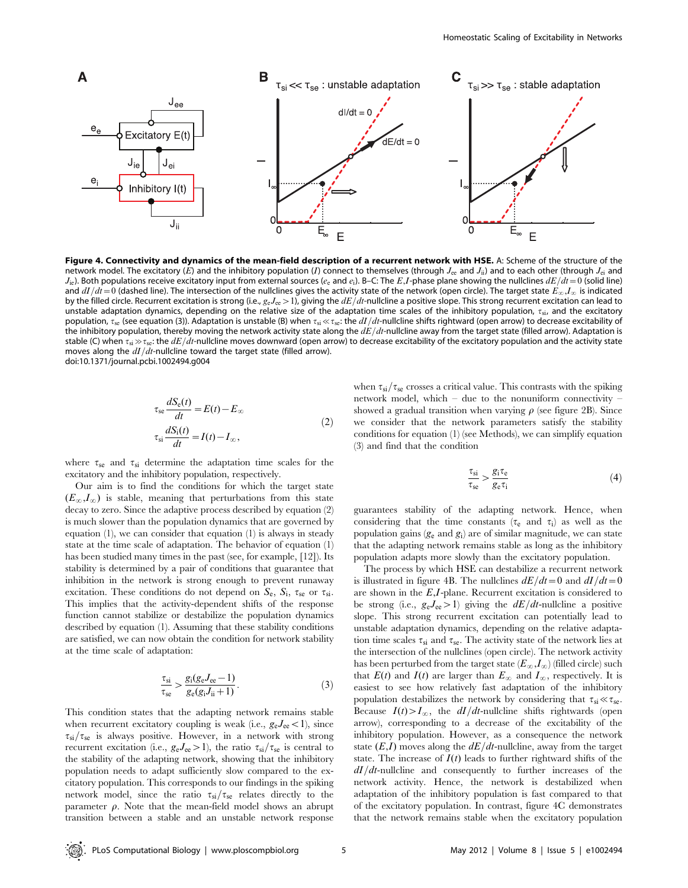

Figure 4. Connectivity and dynamics of the mean-field description of a recurrent network with HSE. A: Scheme of the structure of the network model. The excitatory (E) and the inhibitory population (I) connect to themselves (through  $J_{ee}$  and  $J_{ii}$ ) and to each other (through  $J_{ei}$  and  $J_{\rm ie}$ ). Both populations receive excitatory input from external sources ( $e_{\rm e}$  and  $e_{\rm i}$ ). B–C: The E,I-phase plane showing the nullclines  $dE/dt = 0$  (solid line) and  $dI/dt=0$  (dashed line). The intersection of the nullclines gives the activity state of the network (open circle). The target state  $E_{\infty},I_{\infty}$  is indicated by the filled circle. Recurrent excitation is strong (i.e.,  $g_eJ_{ee} > 1$ ), giving the  $dE/dt$ -nullcline a positive slope. This strong recurrent excitation can lead to unstable adaptation dynamics, depending on the relative size of the adaptation time scales of the inhibitory population,  $\tau_{si}$ , and the excitatory population,  $\tau_{\rm sc}$  (see equation (3)). Adaptation is unstable (B) when  $\tau_{\rm si} \ll \tau_{\rm sc}$ : the  $dI/dt$ -nullcline shifts rightward (open arrow) to decrease excitability of the inhibitory population, thereby moving the network activity state along the  $dE/dt$ -nullcline away from the target state (filled arrow). Adaptation is stable (C) when  $\tau_{si} \gg \tau_{sc}$ : the  $dE/dt$ -nullcline moves downward (open arrow) to decrease excitability of the excitatory population and the activity state moves along the  $dI/dt$ -nullcline toward the target state (filled arrow). doi:10.1371/journal.pcbi.1002494.g004

$$
\tau_{\rm se} \frac{dS_{\rm e}(t)}{dt} = E(t) - E_{\infty}
$$
  
\n
$$
\tau_{\rm si} \frac{dS_{\rm i}(t)}{dt} = I(t) - I_{\infty},
$$
\n(2)

where  $\tau_{se}$  and  $\tau_{si}$  determine the adaptation time scales for the excitatory and the inhibitory population, respectively.

Our aim is to find the conditions for which the target state  $(E_{\infty},I_{\infty})$  is stable, meaning that perturbations from this state decay to zero. Since the adaptive process described by equation (2) is much slower than the population dynamics that are governed by equation (1), we can consider that equation (1) is always in steady state at the time scale of adaptation. The behavior of equation (1) has been studied many times in the past (see, for example, [12]). Its stability is determined by a pair of conditions that guarantee that inhibition in the network is strong enough to prevent runaway excitation. These conditions do not depend on  $S_e$ ,  $S_i$ ,  $\tau_{se}$  or  $\tau_{si}$ . This implies that the activity-dependent shifts of the response function cannot stabilize or destabilize the population dynamics described by equation (1). Assuming that these stability conditions are satisfied, we can now obtain the condition for network stability at the time scale of adaptation:

$$
\frac{\tau_{\rm si}}{\tau_{\rm se}} > \frac{g_{\rm i}(g_{\rm e}J_{\rm ee}-1)}{g_{\rm e}(g_{\rm i}J_{\rm ii}+1)}.\tag{3}
$$

This condition states that the adapting network remains stable when recurrent excitatory coupling is weak (i.e.,  $g_eJ_{ee}$  < 1), since  $\tau_{si}/\tau_{se}$  is always positive. However, in a network with strong recurrent excitation (i.e.,  $g_eJ_{ee} > 1$ ), the ratio  $\tau_{si}/\tau_{se}$  is central to the stability of the adapting network, showing that the inhibitory population needs to adapt sufficiently slow compared to the excitatory population. This corresponds to our findings in the spiking network model, since the ratio  $\tau_{si}/\tau_{se}$  relates directly to the parameter  $\rho$ . Note that the mean-field model shows an abrupt transition between a stable and an unstable network response

when  $\tau_{si}/\tau_{se}$  crosses a critical value. This contrasts with the spiking network model, which – due to the nonuniform connectivity – showed a gradual transition when varying  $\rho$  (see figure 2B). Since we consider that the network parameters satisfy the stability conditions for equation (1) (see Methods), we can simplify equation (3) and find that the condition

$$
\frac{\tau_{\rm si}}{\tau_{\rm se}} > \frac{g_{\rm i}\tau_{\rm e}}{g_{\rm e}\tau_{\rm i}}\tag{4}
$$

guarantees stability of the adapting network. Hence, when considering that the time constants ( $\tau_e$  and  $\tau_i$ ) as well as the population gains  $(g_e \text{ and } g_i)$  are of similar magnitude, we can state that the adapting network remains stable as long as the inhibitory population adapts more slowly than the excitatory population.

The process by which HSE can destabilize a recurrent network is illustrated in figure 4B. The nullclines  $dE/dt=0$  and  $dI/dt=0$ are shown in the  $E, I$ -plane. Recurrent excitation is considered to be strong (i.e.,  $g_eJ_{ee} > 1$ ) giving the  $dE/dt$ -nullcline a positive slope. This strong recurrent excitation can potentially lead to unstable adaptation dynamics, depending on the relative adaptation time scales  $\tau_{si}$  and  $\tau_{se}$ . The activity state of the network lies at the intersection of the nullclines (open circle). The network activity has been perturbed from the target state  $(E_{\infty},I_{\infty})$  (filled circle) such that  $E(t)$  and  $I(t)$  are larger than  $E_{\infty}$  and  $I_{\infty}$ , respectively. It is easiest to see how relatively fast adaptation of the inhibitory population destabilizes the network by considering that  $\tau_{si} \ll \tau_{se}$ . Because  $I(t) > I_{\infty}$ , the  $dI/dt$ -nullcline shifts rightwards (open arrow), corresponding to a decrease of the excitability of the inhibitory population. However, as a consequence the network state  $(E,I)$  moves along the  $dE/dt$ -nullcline, away from the target state. The increase of  $I(t)$  leads to further rightward shifts of the  $dI/dt$ -nullcline and consequently to further increases of the network activity. Hence, the network is destabilized when adaptation of the inhibitory population is fast compared to that of the excitatory population. In contrast, figure 4C demonstrates that the network remains stable when the excitatory population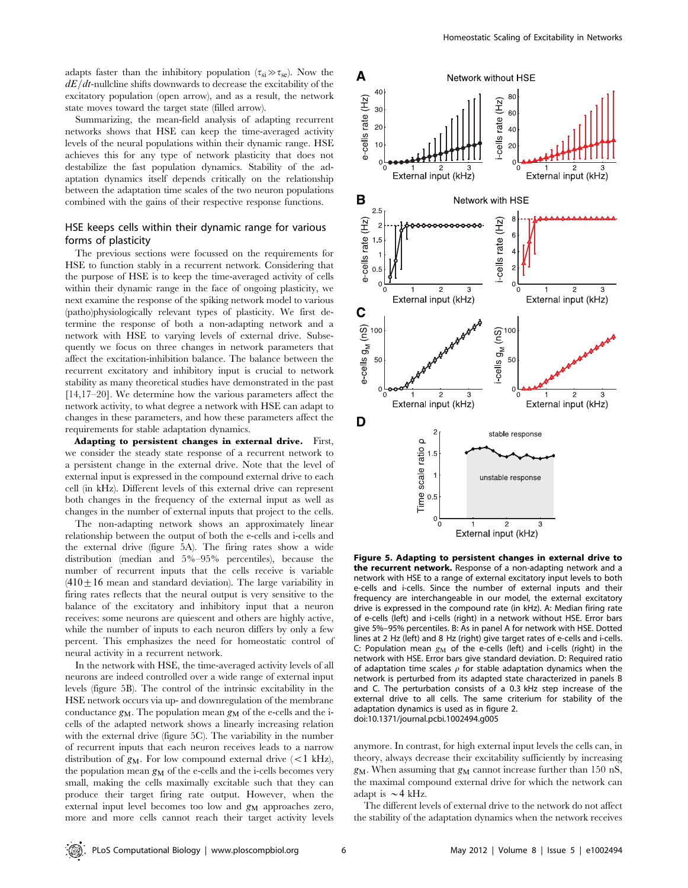adapts faster than the inhibitory population ( $\tau_{si} \gg \tau_{se}$ ). Now the  $dE/dt$ -nullcline shifts downwards to decrease the excitability of the excitatory population (open arrow), and as a result, the network state moves toward the target state (filled arrow).

Summarizing, the mean-field analysis of adapting recurrent networks shows that HSE can keep the time-averaged activity levels of the neural populations within their dynamic range. HSE achieves this for any type of network plasticity that does not destabilize the fast population dynamics. Stability of the adaptation dynamics itself depends critically on the relationship between the adaptation time scales of the two neuron populations combined with the gains of their respective response functions.

## HSE keeps cells within their dynamic range for various forms of plasticity

The previous sections were focussed on the requirements for HSE to function stably in a recurrent network. Considering that the purpose of HSE is to keep the time-averaged activity of cells within their dynamic range in the face of ongoing plasticity, we next examine the response of the spiking network model to various (patho)physiologically relevant types of plasticity. We first determine the response of both a non-adapting network and a network with HSE to varying levels of external drive. Subsequently we focus on three changes in network parameters that affect the excitation-inhibition balance. The balance between the recurrent excitatory and inhibitory input is crucial to network stability as many theoretical studies have demonstrated in the past [14,17–20]. We determine how the various parameters affect the network activity, to what degree a network with HSE can adapt to changes in these parameters, and how these parameters affect the requirements for stable adaptation dynamics.

Adapting to persistent changes in external drive. First, we consider the steady state response of a recurrent network to a persistent change in the external drive. Note that the level of external input is expressed in the compound external drive to each cell (in kHz). Different levels of this external drive can represent both changes in the frequency of the external input as well as changes in the number of external inputs that project to the cells.

The non-adapting network shows an approximately linear relationship between the output of both the e-cells and i-cells and the external drive (figure 5A). The firing rates show a wide distribution (median and 5%–95% percentiles), because the number of recurrent inputs that the cells receive is variable  $(410 \pm 16$  mean and standard deviation). The large variability in firing rates reflects that the neural output is very sensitive to the balance of the excitatory and inhibitory input that a neuron receives: some neurons are quiescent and others are highly active, while the number of inputs to each neuron differs by only a few percent. This emphasizes the need for homeostatic control of neural activity in a recurrent network.

In the network with HSE, the time-averaged activity levels of all neurons are indeed controlled over a wide range of external input levels (figure 5B). The control of the intrinsic excitability in the HSE network occurs via up- and downregulation of the membrane conductance  $g_M$ . The population mean  $g_M$  of the e-cells and the icells of the adapted network shows a linearly increasing relation with the external drive (figure 5C). The variability in the number of recurrent inputs that each neuron receives leads to a narrow distribution of  $g_M$ . For low compound external drive (<1 kHz), the population mean  $g_M$  of the e-cells and the i-cells becomes very small, making the cells maximally excitable such that they can produce their target firing rate output. However, when the external input level becomes too low and  $g_M$  approaches zero, more and more cells cannot reach their target activity levels



Figure 5. Adapting to persistent changes in external drive to the recurrent network. Response of a non-adapting network and a network with HSE to a range of external excitatory input levels to both e-cells and i-cells. Since the number of external inputs and their frequency are interchangeable in our model, the external excitatory drive is expressed in the compound rate (in kHz). A: Median firing rate of e-cells (left) and i-cells (right) in a network without HSE. Error bars give 5%–95% percentiles. B: As in panel A for network with HSE. Dotted lines at 2 Hz (left) and 8 Hz (right) give target rates of e-cells and i-cells. C: Population mean  $g_M$  of the e-cells (left) and i-cells (right) in the network with HSE. Error bars give standard deviation. D: Required ratio of adaptation time scales  $\rho$  for stable adaptation dynamics when the network is perturbed from its adapted state characterized in panels B and C. The perturbation consists of a 0.3 kHz step increase of the external drive to all cells. The same criterium for stability of the adaptation dynamics is used as in figure 2. doi:10.1371/journal.pcbi.1002494.g005

anymore. In contrast, for high external input levels the cells can, in theory, always decrease their excitability sufficiently by increasing  $g_M$ . When assuming that  $g_M$  cannot increase further than 150 nS, the maximal compound external drive for which the network can adapt is  $\sim$  4 kHz.

The different levels of external drive to the network do not affect the stability of the adaptation dynamics when the network receives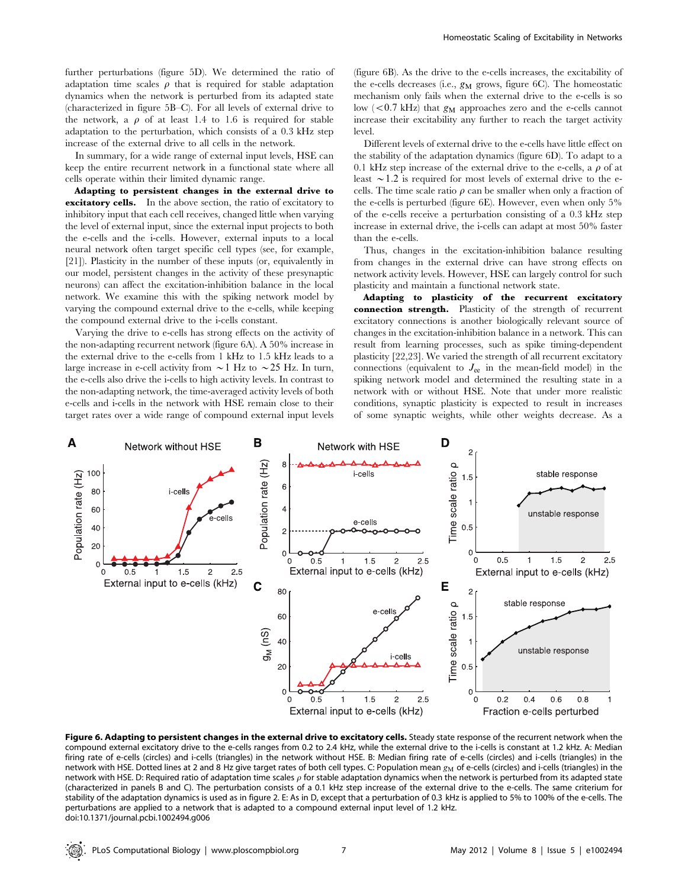further perturbations (figure 5D). We determined the ratio of adaptation time scales  $\rho$  that is required for stable adaptation dynamics when the network is perturbed from its adapted state (characterized in figure 5B–C). For all levels of external drive to the network, a  $\rho$  of at least 1.4 to 1.6 is required for stable adaptation to the perturbation, which consists of a 0.3 kHz step increase of the external drive to all cells in the network.

In summary, for a wide range of external input levels, HSE can keep the entire recurrent network in a functional state where all cells operate within their limited dynamic range.

Adapting to persistent changes in the external drive to excitatory cells. In the above section, the ratio of excitatory to inhibitory input that each cell receives, changed little when varying the level of external input, since the external input projects to both the e-cells and the i-cells. However, external inputs to a local neural network often target specific cell types (see, for example, [21]). Plasticity in the number of these inputs (or, equivalently in our model, persistent changes in the activity of these presynaptic neurons) can affect the excitation-inhibition balance in the local network. We examine this with the spiking network model by varying the compound external drive to the e-cells, while keeping the compound external drive to the i-cells constant.

Varying the drive to e-cells has strong effects on the activity of the non-adapting recurrent network (figure 6A). A 50% increase in the external drive to the e-cells from 1 kHz to 1.5 kHz leads to a large increase in e-cell activity from  $\sim$  1 Hz to  $\sim$  25 Hz. In turn, the e-cells also drive the i-cells to high activity levels. In contrast to the non-adapting network, the time-averaged activity levels of both e-cells and i-cells in the network with HSE remain close to their target rates over a wide range of compound external input levels

(figure 6B). As the drive to the e-cells increases, the excitability of the e-cells decreases (i.e.,  $g_M$  grows, figure 6C). The homeostatic mechanism only fails when the external drive to the e-cells is so low  $(<0.7$  kHz) that  $g_M$  approaches zero and the e-cells cannot increase their excitability any further to reach the target activity level.

Different levels of external drive to the e-cells have little effect on the stability of the adaptation dynamics (figure 6D). To adapt to a 0.1 kHz step increase of the external drive to the e-cells, a  $\rho$  of at least  $\sim$  1.2 is required for most levels of external drive to the ecells. The time scale ratio  $\rho$  can be smaller when only a fraction of the e-cells is perturbed (figure 6E). However, even when only 5% of the e-cells receive a perturbation consisting of a 0.3 kHz step increase in external drive, the i-cells can adapt at most 50% faster than the e-cells.

Thus, changes in the excitation-inhibition balance resulting from changes in the external drive can have strong effects on network activity levels. However, HSE can largely control for such plasticity and maintain a functional network state.

Adapting to plasticity of the recurrent excitatory connection strength. Plasticity of the strength of recurrent excitatory connections is another biologically relevant source of changes in the excitation-inhibition balance in a network. This can result from learning processes, such as spike timing-dependent plasticity [22,23]. We varied the strength of all recurrent excitatory connections (equivalent to  $J_{ee}$  in the mean-field model) in the spiking network model and determined the resulting state in a network with or without HSE. Note that under more realistic conditions, synaptic plasticity is expected to result in increases of some synaptic weights, while other weights decrease. As a



Figure 6. Adapting to persistent changes in the external drive to excitatory cells. Steady state response of the recurrent network when the compound external excitatory drive to the e-cells ranges from 0.2 to 2.4 kHz, while the external drive to the i-cells is constant at 1.2 kHz. A: Median firing rate of e-cells (circles) and i-cells (triangles) in the network without HSE. B: Median firing rate of e-cells (circles) and i-cells (triangles) in the network with HSE. Dotted lines at 2 and 8 Hz give target rates of both cell types. C: Population mean  $g_M$  of e-cells (circles) and i-cells (triangles) in the network with HSE. D: Required ratio of adaptation time scales  $\rho$  for stable adaptation dynamics when the network is perturbed from its adapted state (characterized in panels B and C). The perturbation consists of a 0.1 kHz step increase of the external drive to the e-cells. The same criterium for stability of the adaptation dynamics is used as in figure 2. E: As in D, except that a perturbation of 0.3 kHz is applied to 5% to 100% of the e-cells. The perturbations are applied to a network that is adapted to a compound external input level of 1.2 kHz. doi:10.1371/journal.pcbi.1002494.g006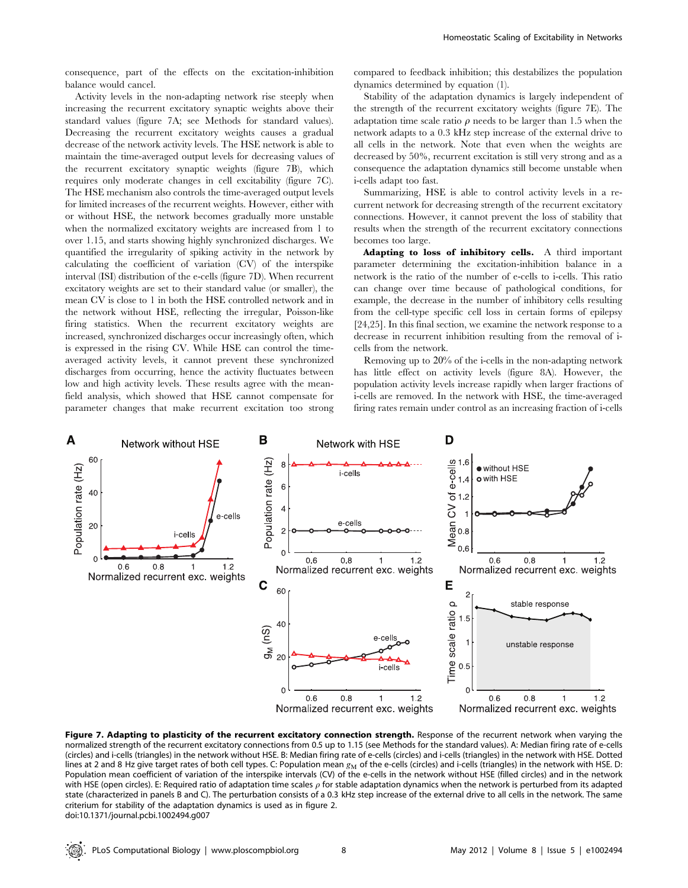consequence, part of the effects on the excitation-inhibition balance would cancel.

Activity levels in the non-adapting network rise steeply when increasing the recurrent excitatory synaptic weights above their standard values (figure 7A; see Methods for standard values). Decreasing the recurrent excitatory weights causes a gradual decrease of the network activity levels. The HSE network is able to maintain the time-averaged output levels for decreasing values of the recurrent excitatory synaptic weights (figure 7B), which requires only moderate changes in cell excitability (figure 7C). The HSE mechanism also controls the time-averaged output levels for limited increases of the recurrent weights. However, either with or without HSE, the network becomes gradually more unstable when the normalized excitatory weights are increased from 1 to over 1.15, and starts showing highly synchronized discharges. We quantified the irregularity of spiking activity in the network by calculating the coefficient of variation (CV) of the interspike interval (ISI) distribution of the e-cells (figure 7D). When recurrent excitatory weights are set to their standard value (or smaller), the mean CV is close to 1 in both the HSE controlled network and in the network without HSE, reflecting the irregular, Poisson-like firing statistics. When the recurrent excitatory weights are increased, synchronized discharges occur increasingly often, which is expressed in the rising CV. While HSE can control the timeaveraged activity levels, it cannot prevent these synchronized discharges from occurring, hence the activity fluctuates between low and high activity levels. These results agree with the meanfield analysis, which showed that HSE cannot compensate for parameter changes that make recurrent excitation too strong compared to feedback inhibition; this destabilizes the population dynamics determined by equation (1).

Stability of the adaptation dynamics is largely independent of the strength of the recurrent excitatory weights (figure 7E). The adaptation time scale ratio  $\rho$  needs to be larger than 1.5 when the network adapts to a 0.3 kHz step increase of the external drive to all cells in the network. Note that even when the weights are decreased by 50%, recurrent excitation is still very strong and as a consequence the adaptation dynamics still become unstable when i-cells adapt too fast.

Summarizing, HSE is able to control activity levels in a recurrent network for decreasing strength of the recurrent excitatory connections. However, it cannot prevent the loss of stability that results when the strength of the recurrent excitatory connections becomes too large.

Adapting to loss of inhibitory cells. A third important parameter determining the excitation-inhibition balance in a network is the ratio of the number of e-cells to i-cells. This ratio can change over time because of pathological conditions, for example, the decrease in the number of inhibitory cells resulting from the cell-type specific cell loss in certain forms of epilepsy [24,25]. In this final section, we examine the network response to a decrease in recurrent inhibition resulting from the removal of icells from the network.

Removing up to 20% of the i-cells in the non-adapting network has little effect on activity levels (figure 8A). However, the population activity levels increase rapidly when larger fractions of i-cells are removed. In the network with HSE, the time-averaged firing rates remain under control as an increasing fraction of i-cells



Figure 7. Adapting to plasticity of the recurrent excitatory connection strength. Response of the recurrent network when varying the normalized strength of the recurrent excitatory connections from 0.5 up to 1.15 (see Methods for the standard values). A: Median firing rate of e-cells (circles) and i-cells (triangles) in the network without HSE. B: Median firing rate of e-cells (circles) and i-cells (triangles) in the network with HSE. Dotted lines at 2 and 8 Hz give target rates of both cell types. C: Population mean  $g_M$  of the e-cells (circles) and i-cells (triangles) in the network with HSE. D: Population mean coefficient of variation of the interspike intervals (CV) of the e-cells in the network without HSE (filled circles) and in the network with HSE (open circles). E: Required ratio of adaptation time scales  $\rho$  for stable adaptation dynamics when the network is perturbed from its adapted state (characterized in panels B and C). The perturbation consists of a 0.3 kHz step increase of the external drive to all cells in the network. The same criterium for stability of the adaptation dynamics is used as in figure 2. doi:10.1371/journal.pcbi.1002494.g007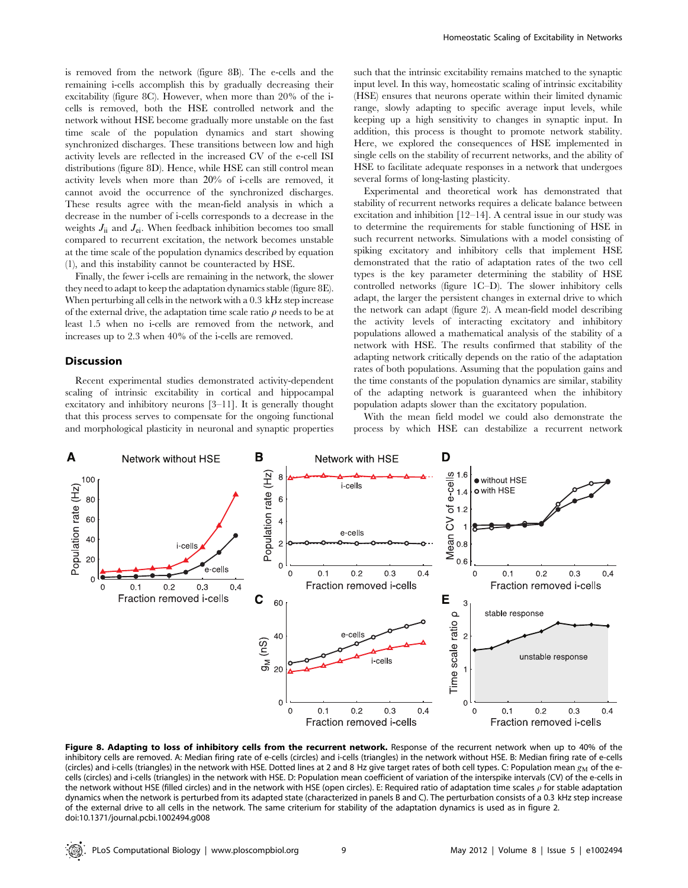is removed from the network (figure 8B). The e-cells and the remaining i-cells accomplish this by gradually decreasing their excitability (figure 8C). However, when more than 20% of the icells is removed, both the HSE controlled network and the network without HSE become gradually more unstable on the fast time scale of the population dynamics and start showing synchronized discharges. These transitions between low and high activity levels are reflected in the increased CV of the e-cell ISI distributions (figure 8D). Hence, while HSE can still control mean activity levels when more than 20% of i-cells are removed, it cannot avoid the occurrence of the synchronized discharges. These results agree with the mean-field analysis in which a decrease in the number of i-cells corresponds to a decrease in the weights  $J_{ii}$  and  $J_{ei}$ . When feedback inhibition becomes too small compared to recurrent excitation, the network becomes unstable at the time scale of the population dynamics described by equation (1), and this instability cannot be counteracted by HSE.

Finally, the fewer i-cells are remaining in the network, the slower they need to adapt to keep the adaptation dynamics stable (figure 8E). When perturbing all cells in the network with a 0.3 kHz step increase of the external drive, the adaptation time scale ratio  $\rho$  needs to be at least 1.5 when no i-cells are removed from the network, and increases up to 2.3 when 40% of the i-cells are removed.

### **Discussion**

Recent experimental studies demonstrated activity-dependent scaling of intrinsic excitability in cortical and hippocampal excitatory and inhibitory neurons [3–11]. It is generally thought that this process serves to compensate for the ongoing functional and morphological plasticity in neuronal and synaptic properties such that the intrinsic excitability remains matched to the synaptic input level. In this way, homeostatic scaling of intrinsic excitability (HSE) ensures that neurons operate within their limited dynamic range, slowly adapting to specific average input levels, while keeping up a high sensitivity to changes in synaptic input. In addition, this process is thought to promote network stability. Here, we explored the consequences of HSE implemented in single cells on the stability of recurrent networks, and the ability of HSE to facilitate adequate responses in a network that undergoes several forms of long-lasting plasticity.

Experimental and theoretical work has demonstrated that stability of recurrent networks requires a delicate balance between excitation and inhibition [12–14]. A central issue in our study was to determine the requirements for stable functioning of HSE in such recurrent networks. Simulations with a model consisting of spiking excitatory and inhibitory cells that implement HSE demonstrated that the ratio of adaptation rates of the two cell types is the key parameter determining the stability of HSE controlled networks (figure 1C–D). The slower inhibitory cells adapt, the larger the persistent changes in external drive to which the network can adapt (figure 2). A mean-field model describing the activity levels of interacting excitatory and inhibitory populations allowed a mathematical analysis of the stability of a network with HSE. The results confirmed that stability of the adapting network critically depends on the ratio of the adaptation rates of both populations. Assuming that the population gains and the time constants of the population dynamics are similar, stability of the adapting network is guaranteed when the inhibitory population adapts slower than the excitatory population.

With the mean field model we could also demonstrate the process by which HSE can destabilize a recurrent network



Figure 8. Adapting to loss of inhibitory cells from the recurrent network. Response of the recurrent network when up to 40% of the inhibitory cells are removed. A: Median firing rate of e-cells (circles) and i-cells (triangles) in the network without HSE. B: Median firing rate of e-cells (circles) and i-cells (triangles) in the network with HSE. Dotted lines at 2 and 8 Hz give target rates of both cell types. C: Population mean  $g_M$  of the ecells (circles) and i-cells (triangles) in the network with HSE. D: Population mean coefficient of variation of the interspike intervals (CV) of the e-cells in the network without HSE (filled circles) and in the network with HSE (open circles). E: Required ratio of adaptation time scales  $\rho$  for stable adaptation dynamics when the network is perturbed from its adapted state (characterized in panels B and C). The perturbation consists of a 0.3 kHz step increase of the external drive to all cells in the network. The same criterium for stability of the adaptation dynamics is used as in figure 2. doi:10.1371/journal.pcbi.1002494.g008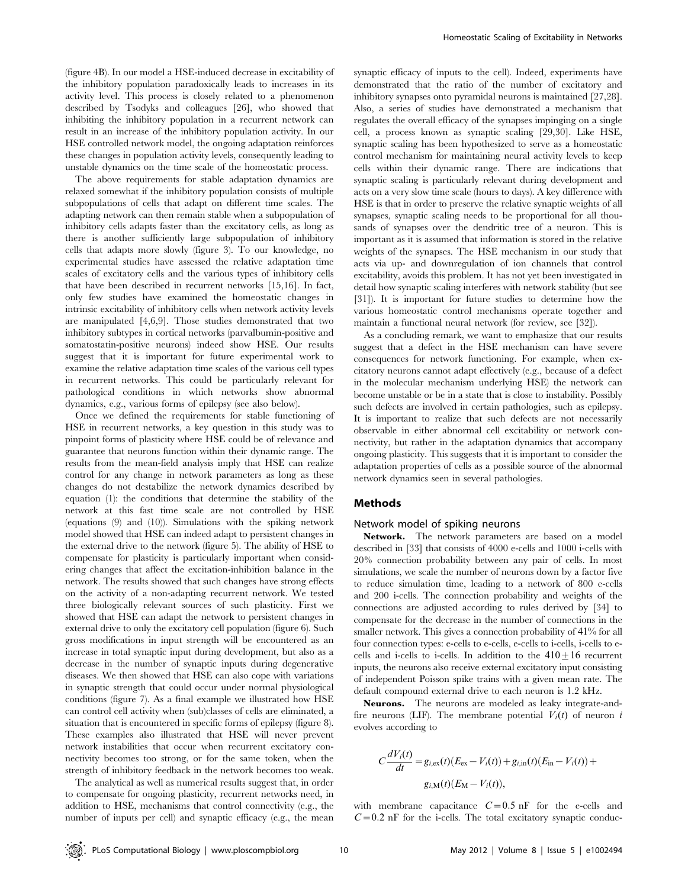(figure 4B). In our model a HSE-induced decrease in excitability of the inhibitory population paradoxically leads to increases in its activity level. This process is closely related to a phenomenon described by Tsodyks and colleagues [26], who showed that inhibiting the inhibitory population in a recurrent network can result in an increase of the inhibitory population activity. In our HSE controlled network model, the ongoing adaptation reinforces these changes in population activity levels, consequently leading to unstable dynamics on the time scale of the homeostatic process.

The above requirements for stable adaptation dynamics are relaxed somewhat if the inhibitory population consists of multiple subpopulations of cells that adapt on different time scales. The adapting network can then remain stable when a subpopulation of inhibitory cells adapts faster than the excitatory cells, as long as there is another sufficiently large subpopulation of inhibitory cells that adapts more slowly (figure 3). To our knowledge, no experimental studies have assessed the relative adaptation time scales of excitatory cells and the various types of inhibitory cells that have been described in recurrent networks [15,16]. In fact, only few studies have examined the homeostatic changes in intrinsic excitability of inhibitory cells when network activity levels are manipulated [4,6,9]. Those studies demonstrated that two inhibitory subtypes in cortical networks (parvalbumin-positive and somatostatin-positive neurons) indeed show HSE. Our results suggest that it is important for future experimental work to examine the relative adaptation time scales of the various cell types in recurrent networks. This could be particularly relevant for pathological conditions in which networks show abnormal dynamics, e.g., various forms of epilepsy (see also below).

Once we defined the requirements for stable functioning of HSE in recurrent networks, a key question in this study was to pinpoint forms of plasticity where HSE could be of relevance and guarantee that neurons function within their dynamic range. The results from the mean-field analysis imply that HSE can realize control for any change in network parameters as long as these changes do not destabilize the network dynamics described by equation (1): the conditions that determine the stability of the network at this fast time scale are not controlled by HSE (equations (9) and (10)). Simulations with the spiking network model showed that HSE can indeed adapt to persistent changes in the external drive to the network (figure 5). The ability of HSE to compensate for plasticity is particularly important when considering changes that affect the excitation-inhibition balance in the network. The results showed that such changes have strong effects on the activity of a non-adapting recurrent network. We tested three biologically relevant sources of such plasticity. First we showed that HSE can adapt the network to persistent changes in external drive to only the excitatory cell population (figure 6). Such gross modifications in input strength will be encountered as an increase in total synaptic input during development, but also as a decrease in the number of synaptic inputs during degenerative diseases. We then showed that HSE can also cope with variations in synaptic strength that could occur under normal physiological conditions (figure 7). As a final example we illustrated how HSE can control cell activity when (sub)classes of cells are eliminated, a situation that is encountered in specific forms of epilepsy (figure 8). These examples also illustrated that HSE will never prevent network instabilities that occur when recurrent excitatory connectivity becomes too strong, or for the same token, when the strength of inhibitory feedback in the network becomes too weak.

The analytical as well as numerical results suggest that, in order to compensate for ongoing plasticity, recurrent networks need, in addition to HSE, mechanisms that control connectivity (e.g., the number of inputs per cell) and synaptic efficacy (e.g., the mean synaptic efficacy of inputs to the cell). Indeed, experiments have demonstrated that the ratio of the number of excitatory and inhibitory synapses onto pyramidal neurons is maintained [27,28]. Also, a series of studies have demonstrated a mechanism that regulates the overall efficacy of the synapses impinging on a single cell, a process known as synaptic scaling [29,30]. Like HSE, synaptic scaling has been hypothesized to serve as a homeostatic control mechanism for maintaining neural activity levels to keep cells within their dynamic range. There are indications that synaptic scaling is particularly relevant during development and acts on a very slow time scale (hours to days). A key difference with HSE is that in order to preserve the relative synaptic weights of all synapses, synaptic scaling needs to be proportional for all thousands of synapses over the dendritic tree of a neuron. This is important as it is assumed that information is stored in the relative weights of the synapses. The HSE mechanism in our study that acts via up- and downregulation of ion channels that control excitability, avoids this problem. It has not yet been investigated in detail how synaptic scaling interferes with network stability (but see [31]). It is important for future studies to determine how the various homeostatic control mechanisms operate together and maintain a functional neural network (for review, see [32]).

As a concluding remark, we want to emphasize that our results suggest that a defect in the HSE mechanism can have severe consequences for network functioning. For example, when excitatory neurons cannot adapt effectively (e.g., because of a defect in the molecular mechanism underlying HSE) the network can become unstable or be in a state that is close to instability. Possibly such defects are involved in certain pathologies, such as epilepsy. It is important to realize that such defects are not necessarily observable in either abnormal cell excitability or network connectivity, but rather in the adaptation dynamics that accompany ongoing plasticity. This suggests that it is important to consider the adaptation properties of cells as a possible source of the abnormal network dynamics seen in several pathologies.

#### Methods

#### Network model of spiking neurons

Network. The network parameters are based on a model described in [33] that consists of 4000 e-cells and 1000 i-cells with 20% connection probability between any pair of cells. In most simulations, we scale the number of neurons down by a factor five to reduce simulation time, leading to a network of 800 e-cells and 200 i-cells. The connection probability and weights of the connections are adjusted according to rules derived by [34] to compensate for the decrease in the number of connections in the smaller network. This gives a connection probability of 41% for all four connection types: e-cells to e-cells, e-cells to i-cells, i-cells to ecells and i-cells to i-cells. In addition to the  $410 \pm 16$  recurrent inputs, the neurons also receive external excitatory input consisting of independent Poisson spike trains with a given mean rate. The default compound external drive to each neuron is 1.2 kHz.

Neurons. The neurons are modeled as leaky integrate-andfire neurons (LIF). The membrane potential  $V_i(t)$  of neuron i evolves according to

$$
C\frac{dV_i(t)}{dt} = g_{i,ex}(t)(E_{ex} - V_i(t)) + g_{i,in}(t)(E_{in} - V_i(t)) + g_{i,M}(t)(E_M - V_i(t)),
$$

with membrane capacitance  $C=0.5$  nF for the e-cells and  $C=0.2$  nF for the i-cells. The total excitatory synaptic conduc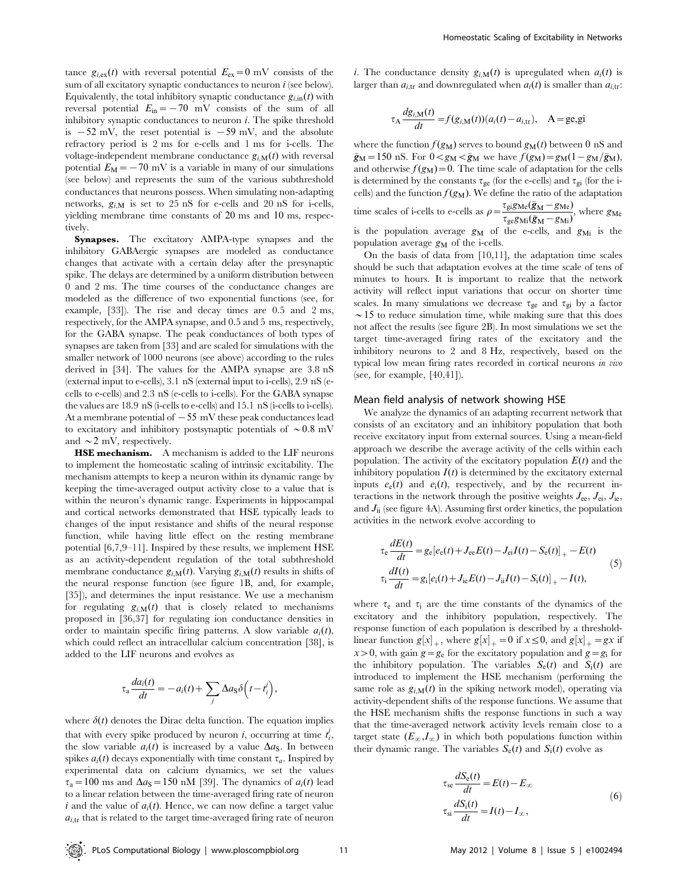tance  $g_{i,ex}(t)$  with reversal potential  $E_{ex}=0$  mV consists of the sum of all excitatory synaptic conductances to neuron  $i$  (see below). Equivalently, the total inhibitory synaptic conductance  $g_{i,in}(t)$  with reversal potential  $E_{\text{in}}=-70$  mV consists of the sum of all inhibitory synaptic conductances to neuron  $i$ . The spike threshold is  $-52$  mV, the reset potential is  $-59$  mV, and the absolute refractory period is 2 ms for e-cells and 1 ms for i-cells. The voltage-independent membrane conductance  $g_{i,M}(t)$  with reversal potential  $E_M = -70$  mV is a variable in many of our simulations (see below) and represents the sum of the various subthreshold conductances that neurons possess. When simulating non-adapting networks,  $g_{i,M}$  is set to 25 nS for e-cells and 20 nS for i-cells, yielding membrane time constants of 20 ms and 10 ms, respectively.

Synapses. The excitatory AMPA-type synapses and the inhibitory GABAergic synapses are modeled as conductance changes that activate with a certain delay after the presynaptic spike. The delays are determined by a uniform distribution between 0 and 2 ms. The time courses of the conductance changes are modeled as the difference of two exponential functions (see, for example, [33]). The rise and decay times are 0.5 and 2 ms, respectively, for the AMPA synapse, and 0.5 and 5 ms, respectively, for the GABA synapse. The peak conductances of both types of synapses are taken from [33] and are scaled for simulations with the smaller network of 1000 neurons (see above) according to the rules derived in [34]. The values for the AMPA synapse are 3.8 nS (external input to e-cells), 3.1 nS (external input to i-cells), 2.9 nS (ecells to e-cells) and 2.3 nS (e-cells to i-cells). For the GABA synapse the values are 18.9 nS (i-cells to e-cells) and 15.1 nS (i-cells to i-cells). At a membrane potential of  $-55$  mV these peak conductances lead to excitatory and inhibitory postsynaptic potentials of  $\sim 0.8$  mV and  $\sim$  2 mV, respectively.

HSE mechanism. A mechanism is added to the LIF neurons to implement the homeostatic scaling of intrinsic excitability. The mechanism attempts to keep a neuron within its dynamic range by keeping the time-averaged output activity close to a value that is within the neuron's dynamic range. Experiments in hippocampal and cortical networks demonstrated that HSE typically leads to changes of the input resistance and shifts of the neural response function, while having little effect on the resting membrane potential [6,7,9–11]. Inspired by these results, we implement HSE as an activity-dependent regulation of the total subthreshold membrane conductance  $g_{i,M}(t)$ . Varying  $g_{i,M}(t)$  results in shifts of the neural response function (see figure 1B, and, for example, [35]), and determines the input resistance. We use a mechanism for regulating  $g_{i,M}(t)$  that is closely related to mechanisms proposed in [36,37] for regulating ion conductance densities in order to maintain specific firing patterns. A slow variable  $a_i(t)$ , which could reflect an intracellular calcium concentration [38], is added to the LIF neurons and evolves as

$$
\tau_a \frac{da_i(t)}{dt} = -a_i(t) + \sum_j \Delta a_S \delta(t - t_i'),
$$

where  $\delta(t)$  denotes the Dirac delta function. The equation implies that with every spike produced by neuron *i*, occurring at time  $t_i^j$ , the slow variable  $a_i(t)$  is increased by a value  $\Delta a_s$ . In between spikes  $a_i(t)$  decays exponentially with time constant  $\tau_a$ . Inspired by experimental data on calcium dynamics, we set the values  $\tau_a$  = 100 ms and  $\Delta a_S$  = 150 nM [39]. The dynamics of  $a_i(t)$  lead to a linear relation between the time-averaged firing rate of neuron i and the value of  $a_i(t)$ . Hence, we can now define a target value  $a_{i,tr}$  that is related to the target time-averaged firing rate of neuron

i. The conductance density  $g_{i,M}(t)$  is upregulated when  $a_i(t)$  is larger than  $a_{i,\text{tr}}$  and downregulated when  $a_i(t)$  is smaller than  $a_{i,\text{tr}}$ :

$$
\tau_{\mathcal{A}} \frac{dg_{i,\mathcal{M}}(t)}{dt} = f(g_{i,\mathcal{M}}(t))(a_i(t) - a_{i,\text{tr}}), \quad \mathcal{A} = \text{ge,gi}
$$

where the function  $f(g_M)$  serves to bound  $g_M(t)$  between 0 nS and  $\bar{g}_M = 150 \text{ nS.}$  For  $0 < g_M < \bar{g}_M$  we have  $f(g_M) = g_M(1 - g_M/\bar{g}_M)$ , and otherwise  $f(g_M) = 0$ . The time scale of adaptation for the cells is determined by the constants  $\tau_{ge}$  (for the e-cells) and  $\tau_{gi}$  (for the icells) and the function  $f(g_M)$ . We define the ratio of the adaptation time scales of i-cells to e-cells as  $\rho = \frac{\tau_{gi}g_{Me}(\bar{g}_{M}-g_{Me})}{\sqrt{g_{M}g_{Me}(\bar{g}_{Me})}}$  $\frac{G_{\text{gISME}}(S_{\text{M}} - S_{\text{ME}})}{\tau_{\text{ge}}g_{\text{Mi}}(\bar{g}_{\text{M}} - g_{\text{Mi}})}$ , where  $g_{\text{Me}}$ is the population average  $g_M$  of the e-cells, and  $g_M$  is the population average  $g_M$  of the i-cells.

On the basis of data from [10,11], the adaptation time scales should be such that adaptation evolves at the time scale of tens of minutes to hours. It is important to realize that the network activity will reflect input variations that occur on shorter time scales. In many simulations we decrease  $\tau_{ge}$  and  $\tau_{gi}$  by a factor  $\sim$ 15 to reduce simulation time, while making sure that this does not affect the results (see figure 2B). In most simulations we set the target time-averaged firing rates of the excitatory and the inhibitory neurons to 2 and 8 Hz, respectively, based on the typical low mean firing rates recorded in cortical neurons in vivo (see, for example,  $[40, 41]$ ).

#### Mean field analysis of network showing HSE

We analyze the dynamics of an adapting recurrent network that consists of an excitatory and an inhibitory population that both receive excitatory input from external sources. Using a mean-field approach we describe the average activity of the cells within each population. The activity of the excitatory population  $E(t)$  and the inhibitory population  $I(t)$  is determined by the excitatory external inputs  $e_e(t)$  and  $e_i(t)$ , respectively, and by the recurrent interactions in the network through the positive weights  $J_{ee}$ ,  $J_{ei}$ ,  $J_{ie}$ , and  $J_{ii}$  (see figure 4A). Assuming first order kinetics, the population activities in the network evolve according to

$$
\tau_{e} \frac{dE(t)}{dt} = g_{e}[e_{e}(t) + J_{ee}E(t) - J_{ei}I(t) - S_{e}(t)]_{+} - E(t)
$$
  
\n
$$
\tau_{i} \frac{dI(t)}{dt} = g_{i}[e_{i}(t) + J_{ie}E(t) - J_{ii}I(t) - S_{i}(t)]_{+} - I(t),
$$
\n(5)

where  $\tau_e$  and  $\tau_i$  are the time constants of the dynamics of the excitatory and the inhibitory population, respectively. The response function of each population is described by a thresholdlinear function  $g[x]_+$ , where  $g[x]_+ = 0$  if  $x \le 0$ , and  $g[x]_+ = gx$  if  $x>0$ , with gain  $g=g_e$  for the excitatory population and  $g=g_i$  for the inhibitory population. The variables  $S_e(t)$  and  $S_i(t)$  are introduced to implement the HSE mechanism (performing the same role as  $g_{i,M}(t)$  in the spiking network model), operating via activity-dependent shifts of the response functions. We assume that the HSE mechanism shifts the response functions in such a way that the time-averaged network activity levels remain close to a target state  $(E_{\infty},I_{\infty})$  in which both populations function within their dynamic range. The variables  $S_e(t)$  and  $S_i(t)$  evolve as

$$
\tau_{\rm se} \frac{dS_{\rm e}(t)}{dt} = E(t) - E_{\infty}
$$
  
\n
$$
\tau_{\rm si} \frac{dS_{\rm i}(t)}{dt} = I(t) - I_{\infty},
$$
\n(6)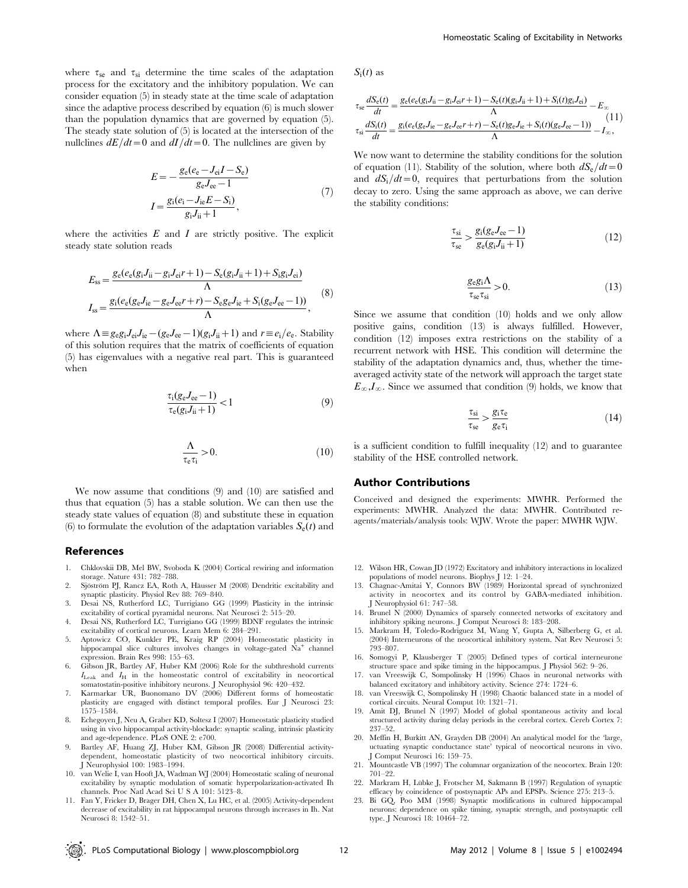$$
E = -\frac{g_e(e_e - J_{ei}I - S_e)}{g_e J_{ee} - 1}
$$
  
\n
$$
I = \frac{g_i(e_i - J_{ie}E - S_i)}{g_i J_{ii} + 1},
$$
 (7)

where the activities  $E$  and  $I$  are strictly positive. The explicit steady state solution reads

$$
E_{ss} = \frac{g_e(e_e(g_iJ_{ii} - g_iJ_{ei}r + 1) - S_e(g_iJ_{ii} + 1) + S_ig_iJ_{ei})}{\Lambda}
$$
  
\n
$$
I_{ss} = \frac{g_i(e_e(g_eJ_{ie} - g_eJ_{ee}r + r) - S_eg_eJ_{ie} + S_i(g_eJ_{ee} - 1))}{\Lambda},
$$
\n(8)

where  $\Lambda \equiv g_e g_i J_{ei} J_{ie} - (g_e J_{ee} - 1)(g_i J_{ii} + 1)$  and  $r \equiv e_i/e_e$ . Stability of this solution requires that the matrix of coefficients of equation (5) has eigenvalues with a negative real part. This is guaranteed when

$$
\frac{\tau_i(g_e J_{ee} - 1)}{\tau_e(g_i J_{ii} + 1)} < 1\tag{9}
$$

$$
\frac{\Lambda}{\tau_{e}\tau_{i}} > 0. \tag{10}
$$

We now assume that conditions (9) and (10) are satisfied and thus that equation (5) has a stable solution. We can then use the steady state values of equation (8) and substitute these in equation (6) to formulate the evolution of the adaptation variables  $S_e(t)$  and

#### References

- 1. Chklovskii DB, Mel BW, Svoboda K (2004) Cortical rewiring and information storage. Nature 431: 782–788.
- 2. Sjöström PJ, Rancz EA, Roth A, Häusser M (2008) Dendritic excitability and synaptic plasticity. Physiol Rev 88: 769–840.
- 3. Desai NS, Rutherford LC, Turrigiano GG (1999) Plasticity in the intrinsic excitability of cortical pyramidal neurons. Nat Neurosci 2: 515–20.
- 4. Desai NS, Rutherford LC, Turrigiano GG (1999) BDNF regulates the intrinsic excitability of cortical neurons. Learn Mem 6: 284–291.
- 5. Aptowicz CO, Kunkler PE, Kraig RP (2004) Homeostatic plasticity in hippocampal slice cultures involves changes in voltage-gated Na<sup>+</sup> channel expression. Brain Res 998: 155–63.
- 6. Gibson JR, Bartley AF, Huber KM (2006) Role for the subthreshold currents  $I_{\text{Leak}}$  and  $I_{\text{H}}$  in the homeostatic control of excitability in neocortical somatostatin-positive inhibitory neurons. J Neurophysiol 96: 420–432.
- 7. Karmarkar UR, Buonomano DV (2006) Different forms of homeostatic plasticity are engaged with distinct temporal profiles. Eur J Neurosci 23: 1575–1584.
- 8. Echegoyen J, Neu A, Graber KD, Soltesz I (2007) Homeostatic plasticity studied using in vivo hippocampal activity-blockade: synaptic scaling, intrinsic plasticity and age-dependence. PLoS ONE 2: e700.
- 9. Bartley AF, Huang ZJ, Huber KM, Gibson JR (2008) Differential activitydependent, homeostatic plasticity of two neocortical inhibitory circuits. J Neurophysiol 100: 1983–1994.
- 10. van Welie I, van Hooft JA, Wadman WJ (2004) Homeostatic scaling of neuronal excitability by synaptic modulation of somatic hyperpolarization-activated Ih channels. Proc Natl Acad Sci U S A 101: 5123–8.
- 11. Fan Y, Fricker D, Brager DH, Chen X, Lu HC, et al. (2005) Activity-dependent decrease of excitability in rat hippocampal neurons through increases in Ih. Nat Neurosci 8: 1542–51.

 $S_i(t)$  as

Homeostatic Scaling of Excitability in Networks  
\nS<sub>i</sub>(*t*) as  
\nτ<sub>se</sub> 
$$
\frac{dS_e(t)}{dt} = \frac{g_e(e_e(g_iJ_{ii} - g_iJ_{ei}r + 1) - S_e(t)(g_iJ_{ii} + 1) + S_i(t)g_iJ_{ei})}{Λ} - E_{\infty}
$$
\nτ<sub>si</sub> 
$$
\frac{dS_i(t)}{dt} = \frac{g_i(e_e(g_eJ_{ie} - g_eJ_{ee}r + r) - S_e(t)g_eJ_{ie} + S_i(t)(g_eJ_{ee} - 1))}{Λ} - I_{\infty},
$$

We now want to determine the stability conditions for the solution of equation (11). Stability of the solution, where both  $dS_e/dt=0$ and  $dS_i/dt=0$ , requires that perturbations from the solution decay to zero. Using the same approach as above, we can derive the stability conditions:

$$
\frac{\tau_{\rm si}}{\tau_{\rm se}} > \frac{g_{\rm i}(g_{\rm e}J_{\rm ee}-1)}{g_{\rm e}(g_{\rm i}J_{\rm ii}+1)}\tag{12}
$$

$$
\frac{g_{e}g_{i}\Lambda}{\tau_{se}\tau_{si}}>0.\tag{13}
$$

Since we assume that condition (10) holds and we only allow positive gains, condition (13) is always fulfilled. However, condition (12) imposes extra restrictions on the stability of a recurrent network with HSE. This condition will determine the stability of the adaptation dynamics and, thus, whether the timeaveraged activity state of the network will approach the target state  $E_{\infty},I_{\infty}$ . Since we assumed that condition (9) holds, we know that

$$
\frac{\tau_{\rm si}}{\tau_{\rm se}} > \frac{g_{\rm i}\tau_{\rm e}}{g_{\rm e}\tau_{\rm i}}\tag{14}
$$

is a sufficient condition to fulfill inequality (12) and to guarantee stability of the HSE controlled network.

### Author Contributions

Conceived and designed the experiments: MWHR. Performed the experiments: MWHR. Analyzed the data: MWHR. Contributed reagents/materials/analysis tools: WJW. Wrote the paper: MWHR WJW.

- 12. Wilson HR, Cowan JD (1972) Excitatory and inhibitory interactions in localized populations of model neurons. Biophys J 12: 1–24.
- 13. Chagnac-Amitai Y, Connors BW (1989) Horizontal spread of synchronized activity in neocortex and its control by GABA-mediated inhibition. J Neurophysiol 61: 747–58.
- 14. Brunel N (2000) Dynamics of sparsely connected networks of excitatory and inhibitory spiking neurons. J Comput Neurosci 8: 183–208.
- 15. Markram H, Toledo-Rodriguez M, Wang Y, Gupta A, Silberberg G, et al. (2004) Interneurons of the neocortical inhibitory system. Nat Rev Neurosci 5: 793–807.
- 16. Somogyi P, Klausberger T (2005) Defined types of cortical interneurone structure space and spike timing in the hippocampus. J Physiol 562: 9–26. 17. van Vreeswijk C, Sompolinsky H (1996) Chaos in neuronal networks with
- balanced excitatory and inhibitory activity. Science 274: 1724–6.
- 18. van Vreeswijk C, Sompolinsky H (1998) Chaotic balanced state in a model of cortical circuits. Neural Comput 10: 1321–71.
- 19. Amit DJ, Brunel N (1997) Model of global spontaneous activity and local structured activity during delay periods in the cerebral cortex. Cereb Cortex 7: 237–52.
- 20. Meffin H, Burkitt AN, Grayden DB (2004) An analytical model for the 'large, uctuating synaptic conductance state' typical of neocortical neurons in vivo. J Comput Neurosci 16: 159–75.
- 21. Mountcastle VB (1997) The columnar organization of the neocortex. Brain 120: 701–22.
- 22. Markram H, Lübke J, Frotscher M, Sakmann B (1997) Regulation of synaptic efficacy by coincidence of postsynaptic APs and EPSPs. Science 275: 213–5.
- 23. Bi GQ, Poo MM (1998) Synaptic modifications in cultured hippocampal neurons: dependence on spike timing, synaptic strength, and postsynaptic cell type. J Neurosci 18: 10464–72.